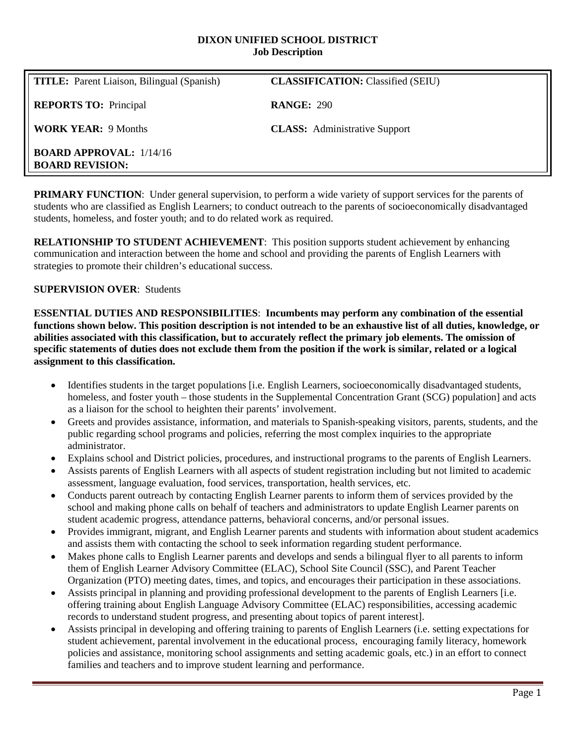#### **DIXON UNIFIED SCHOOL DISTRICT Job Description**

| <b>TITLE:</b> Parent Liaison, Bilingual (Spanish)        | <b>CLASSIFICATION:</b> Classified (SEIU) |
|----------------------------------------------------------|------------------------------------------|
| <b>REPORTS TO:</b> Principal                             | <b>RANGE: 290</b>                        |
| <b>WORK YEAR: 9 Months</b>                               | <b>CLASS:</b> Administrative Support     |
| <b>BOARD APPROVAL:</b> 1/14/16<br><b>BOARD REVISION:</b> |                                          |

**PRIMARY FUNCTION:** Under general supervision, to perform a wide variety of support services for the parents of students who are classified as English Learners; to conduct outreach to the parents of socioeconomically disadvantaged students, homeless, and foster youth; and to do related work as required.

**RELATIONSHIP TO STUDENT ACHIEVEMENT**: This position supports student achievement by enhancing communication and interaction between the home and school and providing the parents of English Learners with strategies to promote their children's educational success.

## **SUPERVISION OVER**: Students

**ESSENTIAL DUTIES AND RESPONSIBILITIES**: **Incumbents may perform any combination of the essential functions shown below. This position description is not intended to be an exhaustive list of all duties, knowledge, or abilities associated with this classification, but to accurately reflect the primary job elements. The omission of specific statements of duties does not exclude them from the position if the work is similar, related or a logical assignment to this classification.**

- Identifies students in the target populations [i.e. English Learners, socioeconomically disadvantaged students, homeless, and foster youth – those students in the Supplemental Concentration Grant (SCG) population] and acts as a liaison for the school to heighten their parents' involvement.
- Greets and provides assistance, information, and materials to Spanish-speaking visitors, parents, students, and the public regarding school programs and policies, referring the most complex inquiries to the appropriate administrator.
- Explains school and District policies, procedures, and instructional programs to the parents of English Learners.
- Assists parents of English Learners with all aspects of student registration including but not limited to academic assessment, language evaluation, food services, transportation, health services, etc.
- Conducts parent outreach by contacting English Learner parents to inform them of services provided by the school and making phone calls on behalf of teachers and administrators to update English Learner parents on student academic progress, attendance patterns, behavioral concerns, and/or personal issues.
- Provides immigrant, migrant, and English Learner parents and students with information about student academics and assists them with contacting the school to seek information regarding student performance.
- Makes phone calls to English Learner parents and develops and sends a bilingual flyer to all parents to inform them of English Learner Advisory Committee (ELAC), School Site Council (SSC), and Parent Teacher Organization (PTO) meeting dates, times, and topics, and encourages their participation in these associations.
- Assists principal in planning and providing professional development to the parents of English Learners [i.e. offering training about English Language Advisory Committee (ELAC) responsibilities, accessing academic records to understand student progress, and presenting about topics of parent interest].
- Assists principal in developing and offering training to parents of English Learners (i.e. setting expectations for student achievement, parental involvement in the educational process, encouraging family literacy, homework policies and assistance, monitoring school assignments and setting academic goals, etc.) in an effort to connect families and teachers and to improve student learning and performance.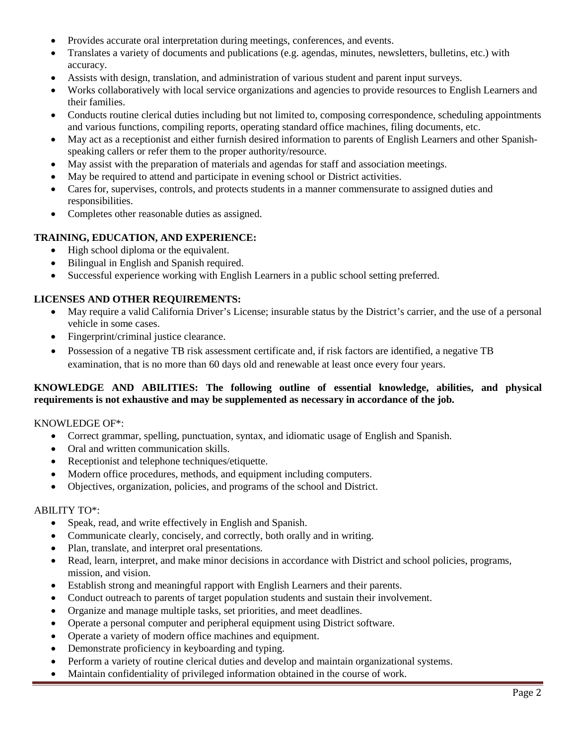- Provides accurate oral interpretation during meetings, conferences, and events.
- Translates a variety of documents and publications (e.g. agendas, minutes, newsletters, bulletins, etc.) with accuracy.
- Assists with design, translation, and administration of various student and parent input surveys.
- Works collaboratively with local service organizations and agencies to provide resources to English Learners and their families.
- Conducts routine clerical duties including but not limited to, composing correspondence, scheduling appointments and various functions, compiling reports, operating standard office machines, filing documents, etc.
- May act as a receptionist and either furnish desired information to parents of English Learners and other Spanishspeaking callers or refer them to the proper authority/resource.
- May assist with the preparation of materials and agendas for staff and association meetings.
- May be required to attend and participate in evening school or District activities.
- Cares for, supervises, controls, and protects students in a manner commensurate to assigned duties and responsibilities.
- Completes other reasonable duties as assigned.

# **TRAINING, EDUCATION, AND EXPERIENCE:**

- High school diploma or the equivalent.
- Bilingual in English and Spanish required.
- Successful experience working with English Learners in a public school setting preferred.

## **LICENSES AND OTHER REQUIREMENTS:**

- May require a valid California Driver's License; insurable status by the District's carrier, and the use of a personal vehicle in some cases.
- Fingerprint/criminal justice clearance.
- Possession of a negative TB risk assessment certificate and, if risk factors are identified, a negative TB examination, that is no more than 60 days old and renewable at least once every four years.

#### **KNOWLEDGE AND ABILITIES: The following outline of essential knowledge, abilities, and physical requirements is not exhaustive and may be supplemented as necessary in accordance of the job.**

KNOWLEDGE OF\*:

- Correct grammar, spelling, punctuation, syntax, and idiomatic usage of English and Spanish.
- Oral and written communication skills.
- Receptionist and telephone techniques/etiquette.
- Modern office procedures, methods, and equipment including computers.
- Objectives, organization, policies, and programs of the school and District.

#### ABILITY TO\*:

- Speak, read, and write effectively in English and Spanish.
- Communicate clearly, concisely, and correctly, both orally and in writing.
- Plan, translate, and interpret oral presentations.
- Read, learn, interpret, and make minor decisions in accordance with District and school policies, programs, mission, and vision.
- Establish strong and meaningful rapport with English Learners and their parents.
- Conduct outreach to parents of target population students and sustain their involvement.
- Organize and manage multiple tasks, set priorities, and meet deadlines.
- Operate a personal computer and peripheral equipment using District software.
- Operate a variety of modern office machines and equipment.
- Demonstrate proficiency in keyboarding and typing.
- Perform a variety of routine clerical duties and develop and maintain organizational systems.
- Maintain confidentiality of privileged information obtained in the course of work.